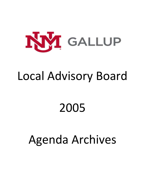

# Local Advisory Board

# 2005

# Agenda Archives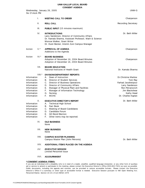# **UNM-GALLUP LOCAL BOARD**

|                                                                                                                                | <b>CONSENT AGENDA</b>                                                                                                                                                                                                                                                                                             |                                                                                                                                                    |
|--------------------------------------------------------------------------------------------------------------------------------|-------------------------------------------------------------------------------------------------------------------------------------------------------------------------------------------------------------------------------------------------------------------------------------------------------------------|----------------------------------------------------------------------------------------------------------------------------------------------------|
| Wednesday, January 26, 2005<br>Six O'clock PM                                                                                  |                                                                                                                                                                                                                                                                                                                   | UNM-G                                                                                                                                              |
| Τ.                                                                                                                             | <b>MEETING CALL TO ORDER</b>                                                                                                                                                                                                                                                                                      | Chairperson                                                                                                                                        |
| Ш.                                                                                                                             | <b>ROLL CALL</b>                                                                                                                                                                                                                                                                                                  | <b>Recording Secretary</b>                                                                                                                         |
| III.                                                                                                                           | <b>PUBLIC INPUT</b> (15 minutes maximum)                                                                                                                                                                                                                                                                          |                                                                                                                                                    |
| IV.                                                                                                                            | <b>INTRODUCTIONS</b><br>Larry Sanderson, Director of Community Affairs<br>Dr. Kamala Sharma, Assistant Professor, Math & Science<br>Monroe Walker, Grant Writer<br>Dr. Dusti Becker, Interim Zuni Campus Manager                                                                                                  | Dr. Beth Miller                                                                                                                                    |
| $V.*$<br>Action                                                                                                                | <b>APPROVAL OF AGENDA</b><br>Additions to the Agenda                                                                                                                                                                                                                                                              | Chairperson                                                                                                                                        |
| Action<br>$VI.*$                                                                                                               | <b>BOARD BUSINESS</b><br>Adoption of November 16, 2004 Board Minutes<br>Adoption of December 16, 2004 Board Minutes                                                                                                                                                                                               | Chairperson                                                                                                                                        |
| VII.                                                                                                                           | <b>BOARD EDUCATION</b><br>National Institutes of Health Grant                                                                                                                                                                                                                                                     | Dr. Kamala Sharma                                                                                                                                  |
| VIII.*<br>Information<br>Information<br>Information<br>Information<br>Information<br>Information<br>Information<br>Information | DIVISION/DEPARTMENT REPORTS<br>Dean of Instruction<br>А.<br>В.<br>Director of Student Services<br>C.<br>Director of Business Operations<br>Director of Community Affairs<br>D.<br>Е.<br>Manager of Physical Plant and Facilities<br>F.<br>Manager of Information Technology<br>G.<br>Nursing<br>E.<br><b>MCHS</b> | Dr. Christine Marlow<br>Tom Ray<br>Farhad Javaheripour<br>Larry Sanderson<br>Ron Petranovich<br>Jim Blackshear<br>Kathy Head<br>Dr. Charles Kaplan |
| Х.<br>Information<br>Information<br>Information<br>Information<br>Information<br>Information                                   | <b>EXECUTIVE DIRECTOR'S REPORT</b><br><b>Technical High School</b><br>Α.<br>В.<br>Fact Book<br>C.<br>Meeting of Board Candidates<br>D.<br>Candidate Forum<br>Е.<br><b>GO Bond Election</b><br>F.<br>Other items may be reported.                                                                                  | Dr. Beth Miller                                                                                                                                    |
| XI.                                                                                                                            | <b>OLD BUSINESS</b><br>None                                                                                                                                                                                                                                                                                       |                                                                                                                                                    |
| XII.                                                                                                                           | <b>NEW BUSINESS</b><br>None                                                                                                                                                                                                                                                                                       |                                                                                                                                                    |
| XIII.                                                                                                                          | <b>CAMPUS MASTER PLANNING</b><br>Campus Master Plan (John Petronis)                                                                                                                                                                                                                                               | Dr. Beth Miller                                                                                                                                    |
| XIV.                                                                                                                           | ADDITIONAL ITEMS PLACED ON THE AGENDA                                                                                                                                                                                                                                                                             |                                                                                                                                                    |
| XV.                                                                                                                            | <b>EXECUTIVE SESSION</b><br><b>Limited Personnel Issue</b>                                                                                                                                                                                                                                                        |                                                                                                                                                    |
| XVI.                                                                                                                           | <b>ADJOURNMENT</b>                                                                                                                                                                                                                                                                                                |                                                                                                                                                    |
| * CONSENT AGENDA ITEMS:                                                                                                        |                                                                                                                                                                                                                                                                                                                   |                                                                                                                                                    |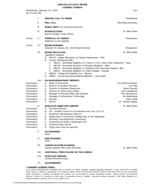|                                                                                                                      |        | UNM-GALLUP LOCAL BOARD                                                                                                                                                                                                                                                                                                                                                                                                                                                                                                                                             |                                                                                                                                             |
|----------------------------------------------------------------------------------------------------------------------|--------|--------------------------------------------------------------------------------------------------------------------------------------------------------------------------------------------------------------------------------------------------------------------------------------------------------------------------------------------------------------------------------------------------------------------------------------------------------------------------------------------------------------------------------------------------------------------|---------------------------------------------------------------------------------------------------------------------------------------------|
| Six O'clock PM                                                                                                       |        | <b>CONSENT AGENDA</b><br>Wednesday, February 23, 2005                                                                                                                                                                                                                                                                                                                                                                                                                                                                                                              | Zuni                                                                                                                                        |
|                                                                                                                      | I.     | <b>MEETING CALL TO ORDER</b>                                                                                                                                                                                                                                                                                                                                                                                                                                                                                                                                       | Chairperson                                                                                                                                 |
|                                                                                                                      | Ш.     | <b>ROLL CALL</b>                                                                                                                                                                                                                                                                                                                                                                                                                                                                                                                                                   | <b>Recording Secretary</b>                                                                                                                  |
|                                                                                                                      | III.   | <b>PUBLIC INPUT</b> (15 minutes maximum)                                                                                                                                                                                                                                                                                                                                                                                                                                                                                                                           |                                                                                                                                             |
|                                                                                                                      | IV.    | <b>INTRODUCTIONS</b><br>Monroe Walker, Grant Writer                                                                                                                                                                                                                                                                                                                                                                                                                                                                                                                | Dr. Beth Miller                                                                                                                             |
| Action                                                                                                               | V.*    | <b>APPROVAL OF AGENDA</b><br>Additions to the Agenda                                                                                                                                                                                                                                                                                                                                                                                                                                                                                                               | Chairperson                                                                                                                                 |
| Action                                                                                                               | $VI.*$ | <b>BOARD BUSINESS</b><br>Adoption of January 26, 2004 Board Minutes                                                                                                                                                                                                                                                                                                                                                                                                                                                                                                | Chairperson                                                                                                                                 |
|                                                                                                                      | VII.   | <b>BOARD EDUCATION</b><br>Legislative Updates<br>A. HB745 - Higher Education as Cabinet Department - Pink<br>Lottery Scholarship Bills<br>В.<br>1. HB119 - Extending Eligibility for Tuition to Two Years After Graduation - Gray<br>HB138 - Extending Duration of Program Elegibility - Blue<br>2.<br>HB140 - Extending Elegibility to Students with Associate Degree - Red<br>3.<br>4. HB551 - Extending Eligibility to Tribal Colleges - Orange<br>C. SB669 - College Affordability Act - Salmon<br>D. HB287 - Future Educational Retiree Benefits - Lime Green | Dr. Beth Miller                                                                                                                             |
| Information<br>Information<br>Information<br>Information<br>Information<br>Information<br>Information<br>Information | VIII.* | DIVISION/DEPARTMENT REPORTS<br>Dean of Instruction<br>А.<br>В.<br>Director of Student Services<br>C.<br>Director of Business Operations<br>Director of Community Affairs<br>D.<br>Manager of Physical Plant and Facilities<br>Е.<br>F.<br>Manager of Information Technology<br>Nursing<br>G.<br><b>MCHS</b><br>F.                                                                                                                                                                                                                                                  | Dr.Christine Marlow<br>Tom Ray<br>David Stewart<br>Larry Sanderson<br>Ron Petranovich<br>Jim Blackshear<br>Kathy Head<br>Dr. Charles Kaplan |
| Information<br>Information<br>Information<br>Information<br>Information<br>Information<br>Information<br>Information | IX.    | <b>EXECUTIVE DIRECTOR'S REPORT</b><br>A. GO Bond Election<br>HIT - AHIMA Council on Accrditation site visit 1/31-2/1<br>В.<br>C.<br>Workforce Development Mtg 2/2<br>Gallup Day & Community College Day at the Legislature<br>D.<br>McKinley Area Education Consortium<br>Е.<br>F.<br>Achieving the Dream, Washington DC<br><b>Technical High School</b><br>G.<br>Other items may be reported.<br>Н.                                                                                                                                                               | Dr. Beth Miller                                                                                                                             |
|                                                                                                                      | Х.     | <b>OLD BUSINESS</b><br>None                                                                                                                                                                                                                                                                                                                                                                                                                                                                                                                                        |                                                                                                                                             |
|                                                                                                                      | XI.    | <b>NEW BUSINESS</b><br>None                                                                                                                                                                                                                                                                                                                                                                                                                                                                                                                                        |                                                                                                                                             |
|                                                                                                                      | XII.   | <b>CAMPUS MASTER PLANNING</b><br>Campus Master Plan (John Petronis)                                                                                                                                                                                                                                                                                                                                                                                                                                                                                                | Dr. Beth Miller                                                                                                                             |
|                                                                                                                      | XIII.  | ADDITIONAL ITEMS PLACED ON THE AGENDA                                                                                                                                                                                                                                                                                                                                                                                                                                                                                                                              |                                                                                                                                             |
|                                                                                                                      | XIV.   | <b>EXECUTIVE SESSION</b><br>Limited Personnel Issue                                                                                                                                                                                                                                                                                                                                                                                                                                                                                                                |                                                                                                                                             |

XV. **ADJOURNMENT**

#### **\* CONSENT AGENDA ITEMS:**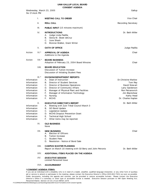| Wednesday, March 23, 2005<br>Six O'clock PM                                                                          |         | Gallup                                                                                                                                                                                                                                                                                                            |                                                                                                                                                    |
|----------------------------------------------------------------------------------------------------------------------|---------|-------------------------------------------------------------------------------------------------------------------------------------------------------------------------------------------------------------------------------------------------------------------------------------------------------------------|----------------------------------------------------------------------------------------------------------------------------------------------------|
|                                                                                                                      | I.      | <b>MEETING CALL TO ORDER</b>                                                                                                                                                                                                                                                                                      | Vice Chair                                                                                                                                         |
|                                                                                                                      | Ш.      | <b>ROLL CALL</b>                                                                                                                                                                                                                                                                                                  | <b>Recording Secretary</b>                                                                                                                         |
|                                                                                                                      | III.    | <b>PUBLIC INPUT</b> (15 minutes maximum)                                                                                                                                                                                                                                                                          |                                                                                                                                                    |
|                                                                                                                      | IV.     | <b>INTRODUCTIONS</b><br>Judge Linda Padilla<br>А.<br>Gloria M. Skeet deCruz<br>В.<br>C.<br>June Shack<br>Monroe Walker, Grant Writer<br>D.                                                                                                                                                                        | Dr. Beth Miller                                                                                                                                    |
|                                                                                                                      | V.      | <b>OATH OF OFFICE</b>                                                                                                                                                                                                                                                                                             | Judge Padilla                                                                                                                                      |
| Action                                                                                                               | $VI.*$  | <b>APPROVAL OF AGENDA</b><br>Additions to the Agenda                                                                                                                                                                                                                                                              | Chair                                                                                                                                              |
| Action                                                                                                               | $VII.*$ | <b>BOARD BUSINESS</b><br>Adoption of February 23, 2004 Board Minutes                                                                                                                                                                                                                                              | Chair                                                                                                                                              |
|                                                                                                                      | VIII.   | <b>BOARD EDUCATION</b><br>Discussion of Tuition Increase<br>Discussion of Initiating Student Fees                                                                                                                                                                                                                 |                                                                                                                                                    |
| Information<br>Information<br>Information<br>Information<br>Information<br>Information<br>Information<br>Information | $IX.*$  | DIVISION/DEPARTMENT REPORTS<br>Dean of Instruction<br>А.<br>Director of Student Services<br>В.<br>C.<br>Director of Business Operations<br>Director of Community Affairs<br>D.<br>Е.<br>Manager of Physical Plant and Facilities<br>F.<br>Manager of Information Technology<br>G.<br>Nursing<br>E.<br><b>MCHS</b> | <b>Dr.Christine Marlow</b><br>Tom Ray<br>David Stewart<br>Larry Sanderson<br>Ron Petranovich<br>Jim Blackshear<br>Kathy Head<br>Dr. Charles Kaplan |
| Information<br>Information<br>Information<br>Information<br>Information<br>Information                               | Х.      | <b>EXECUTIVE DIRECTOR'S REPORT</b><br>Meeting with Zuni Tribal Council March 3<br>А.<br>В.<br><b>GO Bond Update</b><br>C.<br>Legislative Update<br>D.<br><b>MCHS Dropout Prevention Grant</b><br><b>Technical High School</b><br>Е.<br>F.<br>Other items may be reported.                                         | Dr. Beth Miller                                                                                                                                    |
|                                                                                                                      | XI.     | <b>OLD BUSINESS</b><br>None                                                                                                                                                                                                                                                                                       |                                                                                                                                                    |
|                                                                                                                      | XII.    | <b>NEW BUSINESS</b><br>A. Election of Officers<br>В.<br><b>Tuition Increase</b><br>C. Student Fees<br>D. Resolution - Notice of Bond Sale                                                                                                                                                                         | Chair                                                                                                                                              |
|                                                                                                                      | XIII.   | <b>CAMPUS MASTER PLANNING</b><br>Report on March 18 meeting with Gil Berry and John Petronis                                                                                                                                                                                                                      | Dr. Beth Miller                                                                                                                                    |
|                                                                                                                      | XIV.    | ADDITIONAL ITEMS PLACED ON THE AGENDA                                                                                                                                                                                                                                                                             |                                                                                                                                                    |
|                                                                                                                      | XV.     | <b>EXECUTIVE SESSION</b><br><b>Limited Personnel Issue</b>                                                                                                                                                                                                                                                        |                                                                                                                                                    |

## XVI. **ADJOURNMENT**

### **\* CONSENT AGENDA ITEMS:**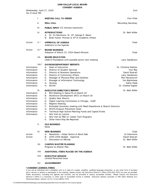| Wednesday, April 27, 2005<br>Six O'clock PM                                                                                                                                                                                                                                    |                                                                                                                                                                                                                                                                                                                                                                                                                                                                                                                                                                                                                                                                                                                                                                                                                                                                                                           | Zuni                                                                                                                                                            |
|--------------------------------------------------------------------------------------------------------------------------------------------------------------------------------------------------------------------------------------------------------------------------------|-----------------------------------------------------------------------------------------------------------------------------------------------------------------------------------------------------------------------------------------------------------------------------------------------------------------------------------------------------------------------------------------------------------------------------------------------------------------------------------------------------------------------------------------------------------------------------------------------------------------------------------------------------------------------------------------------------------------------------------------------------------------------------------------------------------------------------------------------------------------------------------------------------------|-----------------------------------------------------------------------------------------------------------------------------------------------------------------|
| I.                                                                                                                                                                                                                                                                             | <b>MEETING CALL TO ORDER</b>                                                                                                                                                                                                                                                                                                                                                                                                                                                                                                                                                                                                                                                                                                                                                                                                                                                                              | Vice Chair                                                                                                                                                      |
| Ш.                                                                                                                                                                                                                                                                             | <b>ROLL CALL</b>                                                                                                                                                                                                                                                                                                                                                                                                                                                                                                                                                                                                                                                                                                                                                                                                                                                                                          | <b>Recording Secretary</b>                                                                                                                                      |
| III.                                                                                                                                                                                                                                                                           | <b>PUBLIC INPUT</b> (15 minutes maximum)                                                                                                                                                                                                                                                                                                                                                                                                                                                                                                                                                                                                                                                                                                                                                                                                                                                                  |                                                                                                                                                                 |
| IV.                                                                                                                                                                                                                                                                            | <b>INTRODUCTIONS</b><br>A. Dr. Al Clemmons, Sr. VP, George K. Baum<br>Brian Foster, Provost & VP of Academic Affairs<br>В.                                                                                                                                                                                                                                                                                                                                                                                                                                                                                                                                                                                                                                                                                                                                                                                | Dr. Beth Miller                                                                                                                                                 |
| $V.*$<br>Action                                                                                                                                                                                                                                                                | <b>APPROVAL OF AGENDA</b><br>Additions to the Agenda                                                                                                                                                                                                                                                                                                                                                                                                                                                                                                                                                                                                                                                                                                                                                                                                                                                      | Chair                                                                                                                                                           |
| $VI.*$<br>Action                                                                                                                                                                                                                                                               | <b>BOARD BUSINESS</b><br>Adoption of March 23, 2004 Board Minutes                                                                                                                                                                                                                                                                                                                                                                                                                                                                                                                                                                                                                                                                                                                                                                                                                                         | Chair                                                                                                                                                           |
| VII.                                                                                                                                                                                                                                                                           | <b>BOARD EDUCATION</b><br>UNM-G Foundation with possible action next meeting                                                                                                                                                                                                                                                                                                                                                                                                                                                                                                                                                                                                                                                                                                                                                                                                                              | Larry Sanderson                                                                                                                                                 |
| $VIII.*$<br>Information<br>Information<br>Information<br>Information<br>Information<br>Information<br>Information<br>Information<br>IX.<br>Information<br>Information<br>Information<br>Information<br>Information<br>Information<br>Information<br>Information<br>Information | <b>DIVISION/DEPARTMENT REPORTS</b><br>Dean of Instruction<br>А.<br>Director of Student Services<br>В.<br>C.<br>Director of Business Operations<br>Director of Community Affairs<br>D.<br>Manager of Physical Plant and Facilities<br>Е.<br>F.<br>Manager of Information Technology<br>G.<br>Nursing<br>Η.<br><b>MCHS</b><br><b>EXECUTIVE DIRECTOR'S REPORT</b><br>BtO Meeting in Santa Fe on March 29<br>А.<br>Workforce Development SFCC on March 30<br>В.<br>C.<br><b>Quality New Mexico</b><br>Higher Learning Commission in Chicago - AQIP<br>D.<br>Е.<br><b>Regents Meeting</b><br>F.<br>Extended University meeting with Reed Dasenbrock & Branch Directors<br><b>MCHS Dropout Prevention Grant</b><br>G.<br>Η.<br>Technical High School Planning Funds and Capital Funds<br>I.<br>Site Visit by Lumina<br>Site Visit by PED re: Career Tech Programs<br>J.<br>Other Items May Be Reported.<br>K. . | Dr. Christine Marlow<br>Tom Ray<br>David Stewart<br>Larry Sanderson<br>Ron Petranovich<br>Jim Blackshear<br>Kathy Head<br>Dr. Charles Kaplan<br>Dr. Beth Miller |
| Χ.                                                                                                                                                                                                                                                                             | <b>OLD BUSINESS</b><br>None                                                                                                                                                                                                                                                                                                                                                                                                                                                                                                                                                                                                                                                                                                                                                                                                                                                                               |                                                                                                                                                                 |
| XI.<br>Action<br>Action                                                                                                                                                                                                                                                        | <b>NEW BUSINESS</b><br>Resolution - Adopt Notice of Bond Sale<br>Α.<br>2005-2006 Budget - Approval<br>В.<br>C. Discussion on Retreat                                                                                                                                                                                                                                                                                                                                                                                                                                                                                                                                                                                                                                                                                                                                                                      | Chair<br>AI Clemmons<br>David Stewart<br>Dr. Beth Miller                                                                                                        |
| XII.                                                                                                                                                                                                                                                                           | <b>CAMPUS MASTER PLANNING</b><br>Progress on Master Plan                                                                                                                                                                                                                                                                                                                                                                                                                                                                                                                                                                                                                                                                                                                                                                                                                                                  | Dr. Beth Miller                                                                                                                                                 |
| XIII.                                                                                                                                                                                                                                                                          | ADDITIONAL ITEMS PLACED ON THE AGENDA                                                                                                                                                                                                                                                                                                                                                                                                                                                                                                                                                                                                                                                                                                                                                                                                                                                                     |                                                                                                                                                                 |
| XIV.                                                                                                                                                                                                                                                                           | <b>EXECUTIVE SESSION</b><br><b>Limited Personnel Issue</b>                                                                                                                                                                                                                                                                                                                                                                                                                                                                                                                                                                                                                                                                                                                                                                                                                                                |                                                                                                                                                                 |
| XV.                                                                                                                                                                                                                                                                            | <b>ADJOURNMENT</b>                                                                                                                                                                                                                                                                                                                                                                                                                                                                                                                                                                                                                                                                                                                                                                                                                                                                                        |                                                                                                                                                                 |
| * CONSENT AGENDA ITEMS:                                                                                                                                                                                                                                                        |                                                                                                                                                                                                                                                                                                                                                                                                                                                                                                                                                                                                                                                                                                                                                                                                                                                                                                           |                                                                                                                                                                 |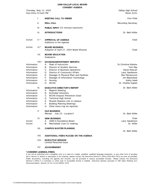|                                                                                                                                                                                                 |                 | UUNJENI AUENDA                                                                                                                                                                                                                                                                                                                                                                                                                                                                                                                                           |                                                                                                                                                                       |
|-------------------------------------------------------------------------------------------------------------------------------------------------------------------------------------------------|-----------------|----------------------------------------------------------------------------------------------------------------------------------------------------------------------------------------------------------------------------------------------------------------------------------------------------------------------------------------------------------------------------------------------------------------------------------------------------------------------------------------------------------------------------------------------------------|-----------------------------------------------------------------------------------------------------------------------------------------------------------------------|
| Thursday, May 12, 2005<br>Four-thirty O'clock PM                                                                                                                                                |                 |                                                                                                                                                                                                                                                                                                                                                                                                                                                                                                                                                          | Gallup High School<br>Room A101                                                                                                                                       |
|                                                                                                                                                                                                 | I.              | <b>MEETING CALL TO ORDER</b>                                                                                                                                                                                                                                                                                                                                                                                                                                                                                                                             | Vice Chair                                                                                                                                                            |
|                                                                                                                                                                                                 | ΙΙ.             | <b>ROLL CALL</b>                                                                                                                                                                                                                                                                                                                                                                                                                                                                                                                                         | <b>Recording Secretary</b>                                                                                                                                            |
|                                                                                                                                                                                                 | III.            | <b>PUBLIC INPUT</b> (15 minutes maximum)                                                                                                                                                                                                                                                                                                                                                                                                                                                                                                                 |                                                                                                                                                                       |
|                                                                                                                                                                                                 | IV.             | <b>INTRODUCTIONS</b>                                                                                                                                                                                                                                                                                                                                                                                                                                                                                                                                     | Dr. Beth Miller                                                                                                                                                       |
| Action                                                                                                                                                                                          | $V.*$           | <b>APPROVAL OF AGENDA</b><br>Additions to the Agenda                                                                                                                                                                                                                                                                                                                                                                                                                                                                                                     | Chair                                                                                                                                                                 |
| Action                                                                                                                                                                                          | $VI.*$          | <b>BOARD BUSINESS</b><br>Adoption of April 27, 2004 Board Minutes                                                                                                                                                                                                                                                                                                                                                                                                                                                                                        | Chair                                                                                                                                                                 |
|                                                                                                                                                                                                 | VII.            | <b>BOARD EDUCATION</b><br>Graduation                                                                                                                                                                                                                                                                                                                                                                                                                                                                                                                     |                                                                                                                                                                       |
| Information<br>Information<br>Information<br>Information<br>Information<br>Information<br>Information<br>Information<br>Information<br>Information<br>Information<br>Information<br>Information | $VIII.*$<br>IX. | DIVISION/DEPARTMENT REPORTS<br>Dean of Instruction<br>А.<br>Director of Student Services<br>В.<br>С.<br>Director of Business Operations<br>Director of Community Affairs<br>D.<br>Manager of Physical Plant and Facilities<br>E.<br>F.<br>Manager of Information Technology<br>G.<br>Nursing<br><b>MCHS</b><br>Н.<br><b>EXECUTIVE DIRECTOR'S REPORT</b><br><b>Regents Meeting</b><br>Α.<br><b>Extended University</b><br>В.<br>C.<br><b>MCHS Dropout Prevention Grant</b><br><b>Technical High School</b><br>D.<br>Е.<br>Ricardo Maestes visit to campus | <b>Dr.Christine Marlow</b><br>Tom Ray<br>David Stewart<br>Larry Sanderson<br>Ron Petranovich<br>Jim Blackshear<br>Kathy Head<br>Dr. Charles Kaplan<br>Dr. Beth Miller |
| Information<br>Information                                                                                                                                                                      |                 | F.<br><b>Building Planning Meetings</b><br>Other items may be reported.<br>G.                                                                                                                                                                                                                                                                                                                                                                                                                                                                            |                                                                                                                                                                       |
|                                                                                                                                                                                                 | Х.              | <b>OLD BUSINESS</b><br>Retreat - July 23 - Location?                                                                                                                                                                                                                                                                                                                                                                                                                                                                                                     | Dr. Beth Miller                                                                                                                                                       |
| Action<br>Action                                                                                                                                                                                | XI.             | <b>NEW BUSINESS</b><br><b>UNM-G Foundation Board</b><br>Α.<br>Reschedule June 22 meeting<br>В.                                                                                                                                                                                                                                                                                                                                                                                                                                                           | Chair<br>Larry Sanderson<br>Dr. Miller                                                                                                                                |
|                                                                                                                                                                                                 | XII.            | <b>CAMPUS MASTER PLANNING</b>                                                                                                                                                                                                                                                                                                                                                                                                                                                                                                                            | Dr. Beth Miller                                                                                                                                                       |
|                                                                                                                                                                                                 | XIII.           | ADDITIONAL ITEMS PLACED ON THE AGENDA                                                                                                                                                                                                                                                                                                                                                                                                                                                                                                                    |                                                                                                                                                                       |
|                                                                                                                                                                                                 | XIV.            | <b>EXECUTIVE SESSION</b>                                                                                                                                                                                                                                                                                                                                                                                                                                                                                                                                 |                                                                                                                                                                       |

*Limited Personnel Issue*

XV. **ADJOURNMENT**

#### **\* CONSENT AGENDA ITEMS:**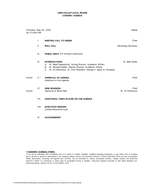| Thursday, May 26, 2005<br>Six O'clock PM |       |                                                                                                                                                                                                                       | Gallup                     |
|------------------------------------------|-------|-----------------------------------------------------------------------------------------------------------------------------------------------------------------------------------------------------------------------|----------------------------|
|                                          | Τ.    | <b>MEETING CALL TO ORDER</b>                                                                                                                                                                                          | Chair                      |
|                                          | II.   | <b>ROLL CALL</b>                                                                                                                                                                                                      | <b>Recording Secretary</b> |
|                                          | III.  | <b>PUBLIC INPUT</b> (15 minutes maximum)                                                                                                                                                                              |                            |
|                                          | IV.   | <b>INTRODUCTIONS</b><br>Dr. Reed Dasenbrock, Acting Provost, Academic Affairs<br>Α.<br>Dr. Richard Holder, Deputy Provost, Academic Affairs<br>В.<br>C. Dr. Al Clemmons, Sr. Vice President, George K. Baum & Company | Dr. Beth Miller            |
| Action                                   | $V.*$ | <b>APPROVAL OF AGENDA</b><br>Additions to the Agenda                                                                                                                                                                  | Chair                      |
| Action                                   | VI.   | <b>NEW BUSINESS</b><br>Approval of Bond Sale                                                                                                                                                                          | Chair<br>Dr. AI Clemmons   |
|                                          | VII.  | ADDITIONAL ITEMS PLACED ON THE AGENDA                                                                                                                                                                                 |                            |
|                                          | VIII. | <b>EXECUTIVE SESSION</b><br><b>Limited Personnel Issue</b>                                                                                                                                                            |                            |

IX. **ADJOURNMENT**

#### **\* CONSENT AGENDA ITEMS:**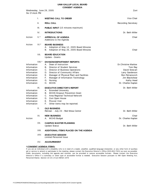|                                                                                                                                     |                 | <b>CONSENT AGENDA</b>                                                                                                                                                                                                                                                                                                                                                             |                                                                                                                                                                 |
|-------------------------------------------------------------------------------------------------------------------------------------|-----------------|-----------------------------------------------------------------------------------------------------------------------------------------------------------------------------------------------------------------------------------------------------------------------------------------------------------------------------------------------------------------------------------|-----------------------------------------------------------------------------------------------------------------------------------------------------------------|
| Six O'clock PM                                                                                                                      |                 | Wednesday, June 29, 2005                                                                                                                                                                                                                                                                                                                                                          | Zuni                                                                                                                                                            |
|                                                                                                                                     | Τ.              | <b>MEETING CALL TO ORDER</b>                                                                                                                                                                                                                                                                                                                                                      | Vice Chair                                                                                                                                                      |
|                                                                                                                                     | Ш.              | <b>ROLL CALL</b>                                                                                                                                                                                                                                                                                                                                                                  | <b>Recording Secretary</b>                                                                                                                                      |
|                                                                                                                                     | III.            | <b>PUBLIC INPUT</b> (15 minutes maximum)                                                                                                                                                                                                                                                                                                                                          |                                                                                                                                                                 |
|                                                                                                                                     | IV.             | <b>INTRODUCTIONS</b>                                                                                                                                                                                                                                                                                                                                                              | Dr. Beth Miller                                                                                                                                                 |
| Action                                                                                                                              | $V.*$           | <b>APPROVAL OF AGENDA</b><br>Additions to the Agenda                                                                                                                                                                                                                                                                                                                              | Chair                                                                                                                                                           |
| Action                                                                                                                              | $VI.*$          | <b>BOARD BUSINESS</b><br>Adoption of May 12, 2005 Board Minutes<br>Α.<br>Adoption of May 26, 2005 Board Minutes<br>В.                                                                                                                                                                                                                                                             | Chair                                                                                                                                                           |
|                                                                                                                                     | VII.            | <b>BOARD EDUCATION</b><br>Update - Grants                                                                                                                                                                                                                                                                                                                                         |                                                                                                                                                                 |
| Information<br>Information<br>Information<br>Information<br>Information<br>Information<br>Information<br>Information<br>Information | $VIII.*$<br>IX. | DIVISION/DEPARTMENT REPORTS<br>Dean of Instruction<br>Α.<br>В.<br>Director of Student Services<br>C.<br>Director of Business Operations<br>Director of Community Affairs<br>D.<br>Е.<br>Manager of Physical Plant and Facilities<br>F.<br>Manager of Information Technology<br>G.<br>Nursing<br><b>MCHS</b><br>Н.<br><b>EXECUTIVE DIRECTOR'S REPORT</b><br>A. Extended University | Dr. Christine Marlow<br>Tom Ray<br>David Stewart<br>Larry Sanderson<br>Ron Petranovich<br>Jim Blackshear<br>Kathy Head<br>Dr. Charles Kaplan<br>Dr. Beth Miller |
| Information<br>Information<br>Information<br>Information<br>Information                                                             |                 | <b>MCHS Dropout Prevention Grant</b><br>В.<br>Area Regional Technical Network<br>C.<br>Zuni Open House<br>D.<br>Provost Visit<br>Е.<br>F.<br>Other items may be reported.                                                                                                                                                                                                         |                                                                                                                                                                 |
|                                                                                                                                     | Χ.              | <b>OLD BUSINESS</b><br>Retreat - July 23 - Red Mesa Center                                                                                                                                                                                                                                                                                                                        | Dr. Beth Miller                                                                                                                                                 |
| Action                                                                                                                              | XI.             | <b>NEW BUSINESS</b><br><b>MCHS Budget</b><br>А.                                                                                                                                                                                                                                                                                                                                   | Chair<br>Dr. Charles Kaplan                                                                                                                                     |
|                                                                                                                                     | XII.            | <b>CAMPUS MASTER PLANNING</b><br>Update Status                                                                                                                                                                                                                                                                                                                                    | Dr. Beth Miller                                                                                                                                                 |
|                                                                                                                                     | XIII.           | ADDITIONAL ITEMS PLACED ON THE AGENDA                                                                                                                                                                                                                                                                                                                                             |                                                                                                                                                                 |

- *XIV. EXECUTIVE SESSION Limited Personnel Issue*
- XV. **ADJOURNMENT**

### **\* CONSENT AGENDA ITEMS:**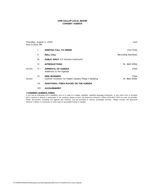| Five O'clock PM |       | Thursday, August 4, 2005                                                      | Zuni                       |
|-----------------|-------|-------------------------------------------------------------------------------|----------------------------|
|                 | ı.    | <b>MEETING CALL TO ORDER</b>                                                  | Vice Chair                 |
|                 | Ш.    | <b>ROLL CALL</b>                                                              | <b>Recording Secretary</b> |
|                 | III.  | <b>PUBLIC INPUT</b> (15 minutes maximum)                                      |                            |
|                 | IV.   | <b>INTRODUCTIONS</b>                                                          | Dr. Beth Miller            |
| Action          | $V.*$ | <b>APPROVAL OF AGENDA</b><br>Additions to the Agenda                          | Chair                      |
| Action          | VI.   | <b>NEW BUSINESS</b><br>Confirm Architect for Health Careers Phase II Building | Chair<br>Dr. Beth Miller   |
|                 | VII.  | ADDITIONAL ITEMS PLACED ON THE AGENDA                                         |                            |

## VIII. **ADJOURNMENT**

#### **\* CONSENT AGENDA ITEMS:**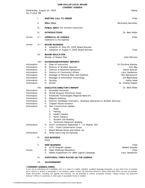|                                                                                                                                              | <b>CONSENT AGENDA</b>                                                                                                                                                                                                                                                                                                                                                                                                                                                                                                                                                                                                                                                                   |                                                                                                                                              |
|----------------------------------------------------------------------------------------------------------------------------------------------|-----------------------------------------------------------------------------------------------------------------------------------------------------------------------------------------------------------------------------------------------------------------------------------------------------------------------------------------------------------------------------------------------------------------------------------------------------------------------------------------------------------------------------------------------------------------------------------------------------------------------------------------------------------------------------------------|----------------------------------------------------------------------------------------------------------------------------------------------|
| Wednesday, August 24, 2005<br>Six O'clock PM                                                                                                 |                                                                                                                                                                                                                                                                                                                                                                                                                                                                                                                                                                                                                                                                                         | Gallup                                                                                                                                       |
| I.                                                                                                                                           | <b>MEETING CALL TO ORDER</b>                                                                                                                                                                                                                                                                                                                                                                                                                                                                                                                                                                                                                                                            | Chair                                                                                                                                        |
| Ш.                                                                                                                                           | ROLL CALL                                                                                                                                                                                                                                                                                                                                                                                                                                                                                                                                                                                                                                                                               | <b>Recording Secretary</b>                                                                                                                   |
| III.                                                                                                                                         | <b>PUBLIC INPUT</b> (15 minutes maximum)                                                                                                                                                                                                                                                                                                                                                                                                                                                                                                                                                                                                                                                |                                                                                                                                              |
| IV.                                                                                                                                          | <b>INTRODUCTIONS</b>                                                                                                                                                                                                                                                                                                                                                                                                                                                                                                                                                                                                                                                                    | Dr. Beth Miller                                                                                                                              |
| $V.*$<br>Action                                                                                                                              | <b>APPROVAL OF AGENDA</b><br>Additions to the Agenda                                                                                                                                                                                                                                                                                                                                                                                                                                                                                                                                                                                                                                    | Chair                                                                                                                                        |
| $VI.*$<br>Action                                                                                                                             | <b>BOARD BUSINESS</b><br>Adoption of June 29, 2005 Board Minutes<br>Α.<br>Adoption of August 4, 2005 Board Minutes<br>В.                                                                                                                                                                                                                                                                                                                                                                                                                                                                                                                                                                | Chair                                                                                                                                        |
| VII.                                                                                                                                         | <b>BOARD EDUCATION</b><br>Review of Master Plan                                                                                                                                                                                                                                                                                                                                                                                                                                                                                                                                                                                                                                         | John Petronis                                                                                                                                |
| $VIII.*$<br>Information<br>Information<br>Information<br>Information<br>Information<br>Information<br>Information<br>Information             | DIVISION/DEPARTMENT REPORTS<br>Dean of Instruction<br>А.<br>Director of Student Services<br>В.<br>C.<br>Director of Business Operations<br>D.<br>Director of Community Affairs<br>Manager of Physical Plant and Facilities<br>Е.<br>F.<br>Manager of Information Technology<br>G.<br>Nursing<br>Η.<br><b>MCHS</b>                                                                                                                                                                                                                                                                                                                                                                       | Dr. Christine Marlow<br>Tom Ray<br>David Stewart<br>Larry Sanderson<br>Ron Petranovich<br>Jim Blackshear<br>Kathy Head<br>Dr. Charles Kaplan |
| VIII.<br>Information<br>Information<br>Information<br>Information<br>Information<br>Information<br>Information<br>Information<br>Information | <b>EXECUTIVE DIRECTOR'S REPORT</b><br><b>Extended University</b><br>Α.<br>В.<br><b>MCHS Dropout Prevention Grant</b><br>C.<br>Advanced Technologies Regional Network<br>Regents Meeting<br>D.<br>Director Candidate Interviews - Business Operations & Student Services<br>Е.<br>Chapter House Initiative<br>F.<br>G.<br>New Construction Update<br>Road<br>i.<br>ii.<br>Parking<br><b>Health Careers</b><br>iii.<br>iv. North Campus<br>Student Life Building<br>ν.<br>vi. Technical Classroom Building<br>ACCT Conference September 7 - 10 Seattle, WA<br>Η.<br>YCC - Youth Conservation Corps<br>I.<br>J.<br>Board Retreat Notes and Follow Up<br>Other items may be reported.<br>Κ. | Dr. Beth Miller                                                                                                                              |
| IX.                                                                                                                                          | <b>OLD BUSINESS</b><br>None                                                                                                                                                                                                                                                                                                                                                                                                                                                                                                                                                                                                                                                             |                                                                                                                                              |
| Χ.<br>Action                                                                                                                                 | <b>NEW BUSINESS</b><br><b>CCTE Program Update</b><br>Α.<br>Open Meetings Resolution<br>В.<br>C.<br>Needs Assessment for UNM Capital Campaign                                                                                                                                                                                                                                                                                                                                                                                                                                                                                                                                            | Chair<br><b>Bobbie Stauder</b><br>Chair<br>Larry Sanderson                                                                                   |
| XI.                                                                                                                                          | ADDITIONAL ITEMS PLACED ON THE AGENDA                                                                                                                                                                                                                                                                                                                                                                                                                                                                                                                                                                                                                                                   |                                                                                                                                              |

- 
- XII. **ADJOURNMENT**

#### **\* CONSENT AGENDA ITEMS:**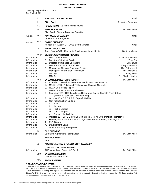# **UNM-GALLUP LOCAL BOARD**

| <b>CONSENT AGENDA</b>                                                                                                                                                                                                                                                                                                                                                               |                   |                                                                                                                                                                                                                                                                                                                                                                                                                                                                                                                                                                                                                                                                                                                                                                                                                                                                                                                                                                                                                                                                                                                                                            |                                                                                                                                                                     |
|-------------------------------------------------------------------------------------------------------------------------------------------------------------------------------------------------------------------------------------------------------------------------------------------------------------------------------------------------------------------------------------|-------------------|------------------------------------------------------------------------------------------------------------------------------------------------------------------------------------------------------------------------------------------------------------------------------------------------------------------------------------------------------------------------------------------------------------------------------------------------------------------------------------------------------------------------------------------------------------------------------------------------------------------------------------------------------------------------------------------------------------------------------------------------------------------------------------------------------------------------------------------------------------------------------------------------------------------------------------------------------------------------------------------------------------------------------------------------------------------------------------------------------------------------------------------------------------|---------------------------------------------------------------------------------------------------------------------------------------------------------------------|
| Six O'clock PM                                                                                                                                                                                                                                                                                                                                                                      |                   | Tuesday, September 27, 2005                                                                                                                                                                                                                                                                                                                                                                                                                                                                                                                                                                                                                                                                                                                                                                                                                                                                                                                                                                                                                                                                                                                                | Zuni                                                                                                                                                                |
|                                                                                                                                                                                                                                                                                                                                                                                     | Ι.                | <b>MEETING CALL TO ORDER</b>                                                                                                                                                                                                                                                                                                                                                                                                                                                                                                                                                                                                                                                                                                                                                                                                                                                                                                                                                                                                                                                                                                                               | Chair                                                                                                                                                               |
|                                                                                                                                                                                                                                                                                                                                                                                     | Ш.                | <b>ROLL CALL</b>                                                                                                                                                                                                                                                                                                                                                                                                                                                                                                                                                                                                                                                                                                                                                                                                                                                                                                                                                                                                                                                                                                                                           | <b>Recording Secretary</b>                                                                                                                                          |
|                                                                                                                                                                                                                                                                                                                                                                                     | III.              | <b>PUBLIC INPUT</b> (15 minutes maximum)                                                                                                                                                                                                                                                                                                                                                                                                                                                                                                                                                                                                                                                                                                                                                                                                                                                                                                                                                                                                                                                                                                                   |                                                                                                                                                                     |
|                                                                                                                                                                                                                                                                                                                                                                                     | IV.               | <b>INTRODUCTIONS</b><br>Clint Ewell, Director Business Operations                                                                                                                                                                                                                                                                                                                                                                                                                                                                                                                                                                                                                                                                                                                                                                                                                                                                                                                                                                                                                                                                                          | Dr. Beth Miller                                                                                                                                                     |
| Action                                                                                                                                                                                                                                                                                                                                                                              | $V.*$             | <b>APPROVAL OF AGENDA</b><br>Additions to the Agenda                                                                                                                                                                                                                                                                                                                                                                                                                                                                                                                                                                                                                                                                                                                                                                                                                                                                                                                                                                                                                                                                                                       | Chair                                                                                                                                                               |
| Action                                                                                                                                                                                                                                                                                                                                                                              | $VI.*$            | <b>BOARD BUSINESS</b><br>Adoption of August 24, 2005 Board Minutes                                                                                                                                                                                                                                                                                                                                                                                                                                                                                                                                                                                                                                                                                                                                                                                                                                                                                                                                                                                                                                                                                         | Chair                                                                                                                                                               |
|                                                                                                                                                                                                                                                                                                                                                                                     | VII.              | <b>BOARD EDUCATION</b><br>Topic from ACCT: Economic Development in our Region                                                                                                                                                                                                                                                                                                                                                                                                                                                                                                                                                                                                                                                                                                                                                                                                                                                                                                                                                                                                                                                                              | <b>Brett Newberry</b>                                                                                                                                               |
| Information<br>Information<br>Information<br>Information<br>Information<br>Information<br>Information<br>Information<br>Information<br>Information<br>Information<br>Information<br>Information<br>Information<br>Information<br>Information<br>Information<br>Information<br>Information<br>Information<br>Information<br>Information<br>Information<br>Information<br>Information | $VIII.*$<br>VIII. | DIVISION/DEPARTMENT REPORTS<br>Dean of Instruction<br>А.<br>Director of Student Services<br>В.<br>C.<br>Director of Business Operations<br>Director of Community Affairs<br>D.<br>Е.<br>Manager of Physical Plant and Facilities<br>F.<br>Manager of Information Technology<br>G.<br>Nursing<br><b>MCHS</b><br>Н.<br><b>EXECUTIVE DIRECTOR'S REPORT</b><br>Extended University - Branch Retreat in Taos September 30<br>А.<br>В.<br>MAEC - ATRN Advanced Technologies Regional Network<br>C.<br>RCCA Conference Report<br>UNM-Los Alamos 25th Anniversary<br>D.<br>Е.<br>September 27 - HED Legislative Hearing on Capital Projects Presentation<br>@ UNM / Technical Classroom Bldg<br>October 13 - C.R.E.A.T.E. Expo @ UNMG<br>F.<br>G.<br>New Construction Update<br>Road<br>i.<br>ii.<br>Parking<br><b>Health Careers</b><br>iii.<br>North Campus<br>iv.<br>Student Life Building<br>ν.<br>October 12 - CCTE Executive Committee Meeting with Principals (tentative)<br>Н.<br>February 5 - 8 - ACCT National Legislative Summitt 2006, Washington DC<br>L.<br><b>RUS Grants</b><br>J.<br>Κ.<br>Development Board<br>Other items may be reported.<br>L. | <b>Dr.Christine Marlow</b><br>Tom Ray<br>Clint Ewell<br>Larry Sanderson<br>Ron Petranovich<br>Jim Blackshear<br>Kathy Head<br>Dr. Charles Kaplan<br>Dr. Beth Miller |
| Information                                                                                                                                                                                                                                                                                                                                                                         | IX.               | <b>OLD BUSINESS</b><br>Operating Agreement - comparison                                                                                                                                                                                                                                                                                                                                                                                                                                                                                                                                                                                                                                                                                                                                                                                                                                                                                                                                                                                                                                                                                                    | Dr. Beth Miller                                                                                                                                                     |
|                                                                                                                                                                                                                                                                                                                                                                                     | Х.                | <b>NEW BUSINESS</b><br>None                                                                                                                                                                                                                                                                                                                                                                                                                                                                                                                                                                                                                                                                                                                                                                                                                                                                                                                                                                                                                                                                                                                                |                                                                                                                                                                     |
|                                                                                                                                                                                                                                                                                                                                                                                     | XI.               | ADDITIONAL ITEMS PLACED ON THE AGENDA                                                                                                                                                                                                                                                                                                                                                                                                                                                                                                                                                                                                                                                                                                                                                                                                                                                                                                                                                                                                                                                                                                                      |                                                                                                                                                                     |
| Information                                                                                                                                                                                                                                                                                                                                                                         | XII.              | <b>CAMPUS MASTER PLANNING</b><br>ARC Workshop "Concepts" Oct 7                                                                                                                                                                                                                                                                                                                                                                                                                                                                                                                                                                                                                                                                                                                                                                                                                                                                                                                                                                                                                                                                                             | Dr. Beth Miller                                                                                                                                                     |
|                                                                                                                                                                                                                                                                                                                                                                                     | XIII.             | <b>EXECUTIVE SESSION</b><br><b>Limited Personnel Issue</b>                                                                                                                                                                                                                                                                                                                                                                                                                                                                                                                                                                                                                                                                                                                                                                                                                                                                                                                                                                                                                                                                                                 |                                                                                                                                                                     |
|                                                                                                                                                                                                                                                                                                                                                                                     | XIV.              | <b>ADJOURNMENT</b>                                                                                                                                                                                                                                                                                                                                                                                                                                                                                                                                                                                                                                                                                                                                                                                                                                                                                                                                                                                                                                                                                                                                         |                                                                                                                                                                     |
|                                                                                                                                                                                                                                                                                                                                                                                     |                   | * CONSENT AGENDA ITEMS:                                                                                                                                                                                                                                                                                                                                                                                                                                                                                                                                                                                                                                                                                                                                                                                                                                                                                                                                                                                                                                                                                                                                    |                                                                                                                                                                     |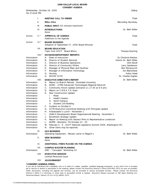| Six O'clock PM                                                                                                                                                                                                                                                                                                                                                                                     |                   | Wednesday, October 26, 2005                                                                                                                                                                                                                                                                                                                                                                                                                                                                                                                                                                                                                                                                                                                                                                                                                                                                                                                                                                                                                                                                                                                                                                               | Gallup                                                                                                                                                                              |
|----------------------------------------------------------------------------------------------------------------------------------------------------------------------------------------------------------------------------------------------------------------------------------------------------------------------------------------------------------------------------------------------------|-------------------|-----------------------------------------------------------------------------------------------------------------------------------------------------------------------------------------------------------------------------------------------------------------------------------------------------------------------------------------------------------------------------------------------------------------------------------------------------------------------------------------------------------------------------------------------------------------------------------------------------------------------------------------------------------------------------------------------------------------------------------------------------------------------------------------------------------------------------------------------------------------------------------------------------------------------------------------------------------------------------------------------------------------------------------------------------------------------------------------------------------------------------------------------------------------------------------------------------------|-------------------------------------------------------------------------------------------------------------------------------------------------------------------------------------|
|                                                                                                                                                                                                                                                                                                                                                                                                    | ı.                | <b>MEETING CALL TO ORDER</b>                                                                                                                                                                                                                                                                                                                                                                                                                                                                                                                                                                                                                                                                                                                                                                                                                                                                                                                                                                                                                                                                                                                                                                              | Chair                                                                                                                                                                               |
|                                                                                                                                                                                                                                                                                                                                                                                                    | Ш.                | <b>ROLL CALL</b>                                                                                                                                                                                                                                                                                                                                                                                                                                                                                                                                                                                                                                                                                                                                                                                                                                                                                                                                                                                                                                                                                                                                                                                          | <b>Recording Secretary</b>                                                                                                                                                          |
|                                                                                                                                                                                                                                                                                                                                                                                                    | III.              | <b>PUBLIC INPUT</b> (15 minutes maximum)                                                                                                                                                                                                                                                                                                                                                                                                                                                                                                                                                                                                                                                                                                                                                                                                                                                                                                                                                                                                                                                                                                                                                                  |                                                                                                                                                                                     |
|                                                                                                                                                                                                                                                                                                                                                                                                    | IV.               | <b>INTRODUCTIONS</b><br>None                                                                                                                                                                                                                                                                                                                                                                                                                                                                                                                                                                                                                                                                                                                                                                                                                                                                                                                                                                                                                                                                                                                                                                              | Dr. Beth Miller                                                                                                                                                                     |
| Action                                                                                                                                                                                                                                                                                                                                                                                             | $V.*$             | <b>APPROVAL OF AGENDA</b><br>Additions to the Agenda                                                                                                                                                                                                                                                                                                                                                                                                                                                                                                                                                                                                                                                                                                                                                                                                                                                                                                                                                                                                                                                                                                                                                      | Chair                                                                                                                                                                               |
| Action                                                                                                                                                                                                                                                                                                                                                                                             | $VI.*$            | <b>BOARD BUSINESS</b><br>Adoption of September 27, 2005 Board Minutes                                                                                                                                                                                                                                                                                                                                                                                                                                                                                                                                                                                                                                                                                                                                                                                                                                                                                                                                                                                                                                                                                                                                     | Chair                                                                                                                                                                               |
|                                                                                                                                                                                                                                                                                                                                                                                                    | VII.              | <b>BOARD EDUCATION</b><br>Topic from ACCT: Board Ethics                                                                                                                                                                                                                                                                                                                                                                                                                                                                                                                                                                                                                                                                                                                                                                                                                                                                                                                                                                                                                                                                                                                                                   | Theresa Dowling                                                                                                                                                                     |
| Information<br>Information<br>Information<br>Information<br>Information<br>Information<br>Information<br>Information<br>Information<br>Information<br>Information<br>Information<br>Information<br>Information<br>Information<br>Information<br>Information<br>Information<br>Information<br>Information<br>Information<br>Information<br>Information<br>Information<br>Information<br>Information | $VIII.*$<br>VIII. | DIVISION/DEPARTMENT REPORTS<br>Dean of Instruction<br>А.<br>Director of Student Services<br>В.<br>C.<br>Director of Business Operations<br>Director of Community Affairs<br>D.<br>Е.<br>Manager of Physical Plant and Facilities<br>F.<br>Manager of Information Technology<br>G.<br>Nursing<br>Η.<br>MCHS/ CCTE<br><b>EXECUTIVE DIRECTOR'S REPORT</b><br>Report on Branch Retreat - Extended University<br>Α.<br>MAEC - ATRN Advanced Technologies Regional Network<br>В.<br>C.<br>Community Forum Update (tentative 11.17.05 at 6-8 pm)<br>Report on C.R.E.A.T.E. Expo<br>D.<br>Е.<br>New Construction Update<br>Road<br>i.<br>ii.<br><b>Health Careers</b><br>North Campus<br>iii.<br>iv. Student Life Building<br>Incident on October 6<br>E.<br>G.<br>CCTE Executive Committee Meeting with Principals Update<br>Н.<br>Ambassador's Lunch - November 1<br>Ι.<br>UNM-G Development Board Organizational Meeting - November 1<br>Enrollment Strategy Update<br>J.<br>Report on Meeting with Senator Pinto & Representative Lundstrom<br>K.<br>RUPRI - Memphis, TN October 22 - 25<br>L.<br>M. February 5 - 8 - ACCT National Legislative Summit 2006, Washington DC<br>N. Other items may be reported. | <b>Dr.Christine Marlow</b><br>Interim Dr. Beth Miller<br>Clint Ewell<br>Larry Sanderson<br>Ron Petranovich<br>Jim Blackshear<br>Kathy Head<br>Dr. Charles Kaplan<br>Dr. Beth Miller |
| Information                                                                                                                                                                                                                                                                                                                                                                                        | IX.               | <b>OLD BUSINESS</b><br>Operating Agreement - Review Letter to Regent's                                                                                                                                                                                                                                                                                                                                                                                                                                                                                                                                                                                                                                                                                                                                                                                                                                                                                                                                                                                                                                                                                                                                    | Dr. Beth Miller                                                                                                                                                                     |
|                                                                                                                                                                                                                                                                                                                                                                                                    | Х.                | <b>NEW BUSINESS</b><br>None                                                                                                                                                                                                                                                                                                                                                                                                                                                                                                                                                                                                                                                                                                                                                                                                                                                                                                                                                                                                                                                                                                                                                                               |                                                                                                                                                                                     |
|                                                                                                                                                                                                                                                                                                                                                                                                    | XI.               | ADDITIONAL ITEMS PLACED ON THE AGENDA                                                                                                                                                                                                                                                                                                                                                                                                                                                                                                                                                                                                                                                                                                                                                                                                                                                                                                                                                                                                                                                                                                                                                                     |                                                                                                                                                                                     |
| Information                                                                                                                                                                                                                                                                                                                                                                                        | XII.              | <b>CAMPUS MASTER PLANNING</b><br>ARC - "Concepts" Workshop #2                                                                                                                                                                                                                                                                                                                                                                                                                                                                                                                                                                                                                                                                                                                                                                                                                                                                                                                                                                                                                                                                                                                                             | Dr. Beth Miller                                                                                                                                                                     |
|                                                                                                                                                                                                                                                                                                                                                                                                    | XIII.             | <b>EXECUTIVE SESSION</b><br><b>Limited Personnel Issue</b>                                                                                                                                                                                                                                                                                                                                                                                                                                                                                                                                                                                                                                                                                                                                                                                                                                                                                                                                                                                                                                                                                                                                                |                                                                                                                                                                                     |
|                                                                                                                                                                                                                                                                                                                                                                                                    | XIV.              | <b>ADJOURNMENT</b>                                                                                                                                                                                                                                                                                                                                                                                                                                                                                                                                                                                                                                                                                                                                                                                                                                                                                                                                                                                                                                                                                                                                                                                        |                                                                                                                                                                                     |
|                                                                                                                                                                                                                                                                                                                                                                                                    |                   | * CONSENT AGENDA ITEMS:                                                                                                                                                                                                                                                                                                                                                                                                                                                                                                                                                                                                                                                                                                                                                                                                                                                                                                                                                                                                                                                                                                                                                                                   |                                                                                                                                                                                     |